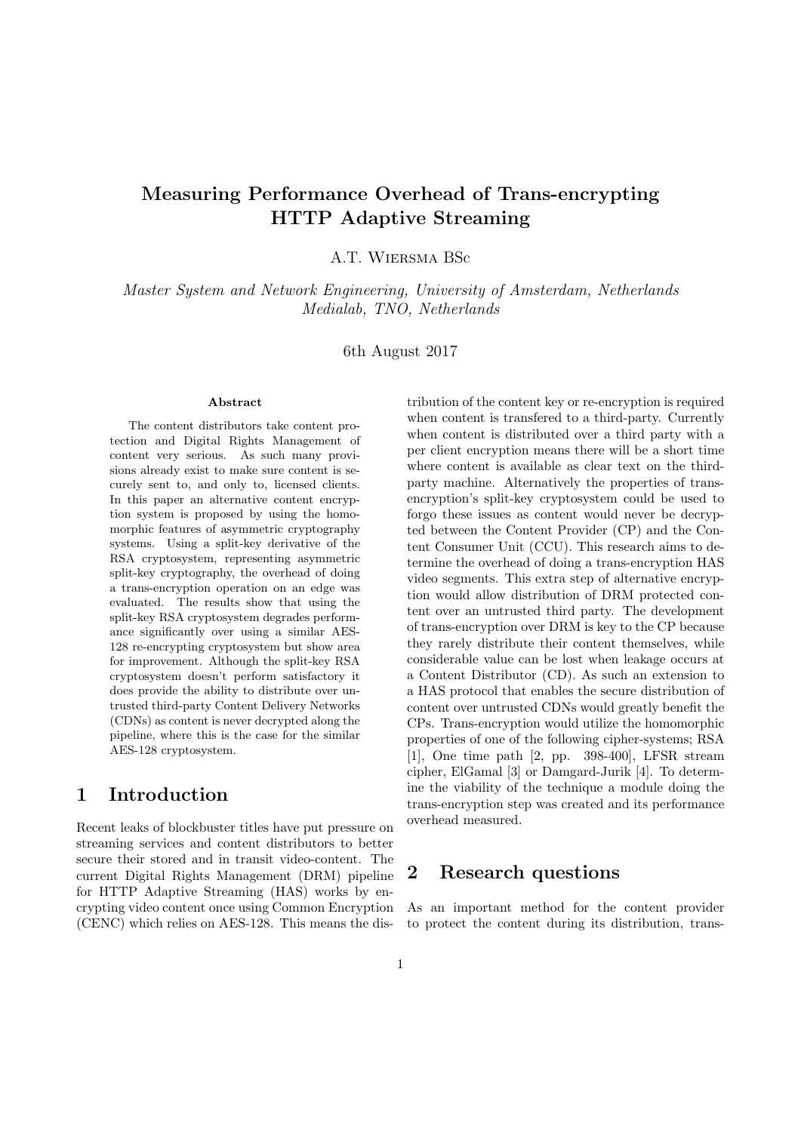# <span id="page-0-0"></span>Measuring Performance Overhead of Trans-encrypting HTTP Adaptive Streaming

A.T. Wiersma BSc

Master System and Network Engineering, University of Amsterdam, Netherlands Medialab, TNO, Netherlands

6th August 2017

#### Abstract

The content distributors take content protection and Digital Rights Management of content very serious. As such many provisions already exist to make sure content is securely sent to, and only to, licensed clients. In this paper an alternative content encryption system is proposed by using the homomorphic features of asymmetric cryptography systems. Using a split-key derivative of the RSA cryptosystem, representing asymmetric split-key cryptography, the overhead of doing a trans-encryption operation on an edge was evaluated. The results show that using the split-key RSA cryptosystem degrades performance significantly over using a similar AES-128 re-encrypting cryptosystem but show area for improvement. Although the split-key RSA cryptosystem doesn't perform satisfactory it does provide the ability to distribute over untrusted third-party Content Delivery Networks (CDNs) as content is never decrypted along the pipeline, where this is the case for the similar AES-128 cryptosystem.

## 1 Introduction

Recent leaks of blockbuster titles have put pressure on streaming services and content distributors to better secure their stored and in transit video-content. The current Digital Rights Management (DRM) pipeline for HTTP Adaptive Streaming (HAS) works by encrypting video content once using Common Encryption (CENC) which relies on AES-128. This means the distribution of the content key or re-encryption is required when content is transfered to a third-party. Currently when content is distributed over a third party with a per client encryption means there will be a short time where content is available as clear text on the thirdparty machine. Alternatively the properties of transencryption's split-key cryptosystem could be used to forgo these issues as content would never be decrypted between the Content Provider (CP) and the Content Consumer Unit (CCU). This research aims to determine the overhead of doing a trans-encryption HAS video segments. This extra step of alternative encryption would allow distribution of DRM protected content over an untrusted third party. The development of trans-encryption over DRM is key to the CP because they rarely distribute their content themselves, while considerable value can be lost when leakage occurs at a Content Distributor (CD). As such an extension to a HAS protocol that enables the secure distribution of content over untrusted CDNs would greatly benefit the CPs. Trans-encryption would utilize the homomorphic properties of one of the following cipher-systems; RSA [\[1\]](#page-8-0), One time path [\[2,](#page-8-1) pp. 398-400], LFSR stream cipher, ElGamal [\[3\]](#page-8-2) or Damgard-Jurik [\[4\]](#page-8-3). To determine the viability of the technique a module doing the trans-encryption step was created and its performance overhead measured.

## 2 Research questions

As an important method for the content provider to protect the content during its distribution, trans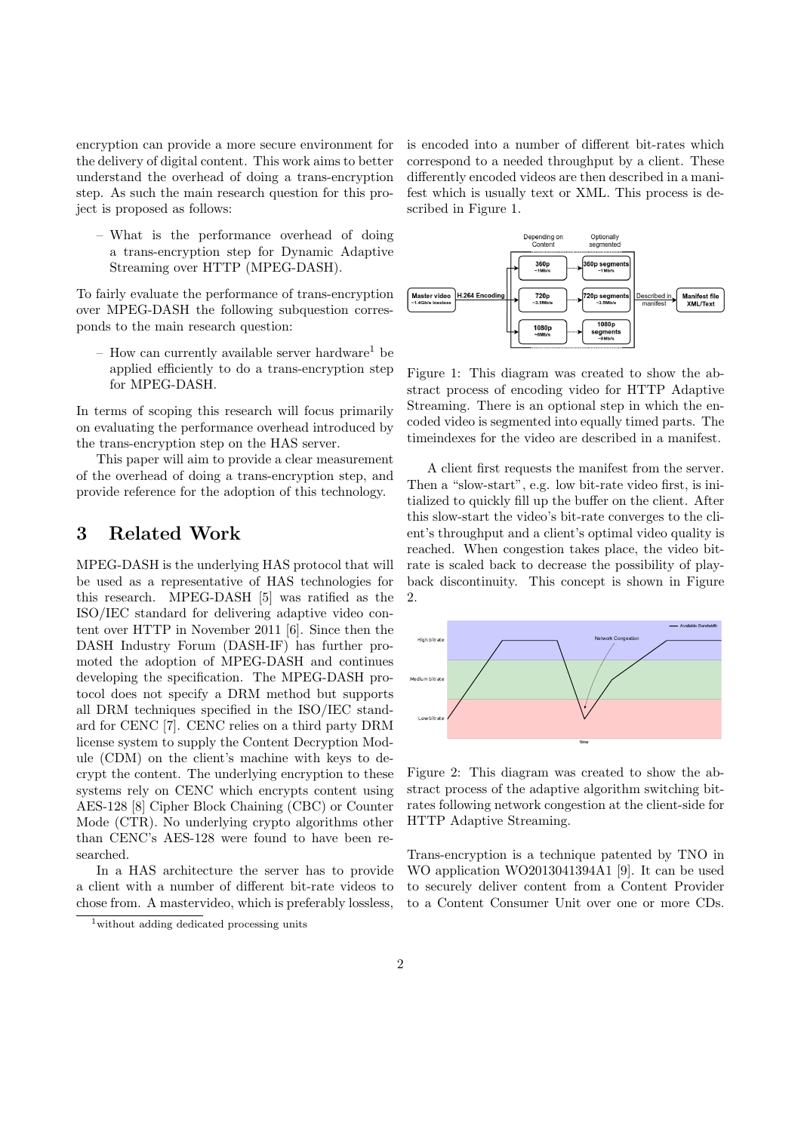encryption can provide a more secure environment for the delivery of digital content. This work aims to better understand the overhead of doing a trans-encryption step. As such the main research question for this project is proposed as follows:

– What is the performance overhead of doing a trans-encryption step for [Dynamic Adaptive](#page-0-0) [Streaming over HTTP \(MPEG-DASH\).](#page-0-0)

To fairly evaluate the performance of trans-encryption over [MPEG-DASH](#page-0-0) the following subquestion corresponds to the main research question:

– How can currently available server hardware<sup>[1](#page-1-0)</sup> be applied efficiently to do a trans-encryption step for [MPEG-DASH.](#page-0-0)

In terms of scoping this research will focus primarily on evaluating the performance overhead introduced by the trans-encryption step on the [HAS](#page-0-0) server.

This paper will aim to provide a clear measurement of the overhead of doing a trans-encryption step, and provide reference for the adoption of this technology.

## 3 Related Work

[MPEG-DASH](#page-0-0) is the underlying [HAS](#page-0-0) protocol that will be used as a representative of [HAS](#page-0-0) technologies for this research. [MPEG-DASH](#page-0-0) [\[5\]](#page-8-4) was ratified as the ISO/IEC standard for delivering adaptive video content over HTTP in November 2011 [\[6\]](#page-8-5). Since then the [DASH Industry Forum \(DASH-IF\)](#page-0-0) has further promoted the adoption of MPEG-DASH and continues developing the specification. The [MPEG-DASH](#page-0-0) protocol does not specify a [DRM](#page-0-0) method but supports all DRM techniques specified in the ISO/IEC standard for [CENC](#page-0-0) [\[7\]](#page-8-6). [CENC](#page-0-0) relies on a third party [DRM](#page-0-0) license system to supply the [Content Decryption Mod](#page-0-0)[ule \(CDM\)](#page-0-0) on the client's machine with keys to decrypt the content. The underlying encryption to these systems rely on [CENC](#page-0-0) which encrypts content using AES-128 [\[8\]](#page-8-7) [Cipher Block Chaining \(CBC\)](#page-0-0) or [Counter](#page-0-0) [Mode \(CTR\).](#page-0-0) No underlying crypto algorithms other than [CENC'](#page-0-0)s AES-128 were found to have been researched.

In a [HAS](#page-0-0) architecture the server has to provide a client with a number of different bit-rate videos to chose from. A mastervideo, which is preferably lossless,

is encoded into a number of different bit-rates which correspond to a needed throughput by a client. These differently encoded videos are then described in a manifest which is usually text or XML. This process is described in Figure [1.](#page-1-1)



<span id="page-1-1"></span>Figure 1: This diagram was created to show the abstract process of encoding video for HTTP Adaptive Streaming. There is an optional step in which the encoded video is segmented into equally timed parts. The timeindexes for the video are described in a manifest.

A client first requests the manifest from the server. Then a "slow-start", e.g. low bit-rate video first, is initialized to quickly fill up the buffer on the client. After this slow-start the video's bit-rate converges to the client's throughput and a client's optimal video quality is reached. When congestion takes place, the video bitrate is scaled back to decrease the possibility of playback discontinuity. This concept is shown in Figure [2.](#page-1-2)



<span id="page-1-2"></span>Figure 2: This diagram was created to show the abstract process of the adaptive algorithm switching bitrates following network congestion at the client-side for HTTP Adaptive Streaming.

Trans-encryption is a technique patented by TNO in WO application WO2013041394A1 [\[9\]](#page-8-8). It can be used to securely deliver content from a [Content Provider](#page-0-0) to a [Content Consumer Unit](#page-0-0) over one or more [CDs.](#page-0-0)

<span id="page-1-0"></span><sup>1</sup>without adding dedicated processing units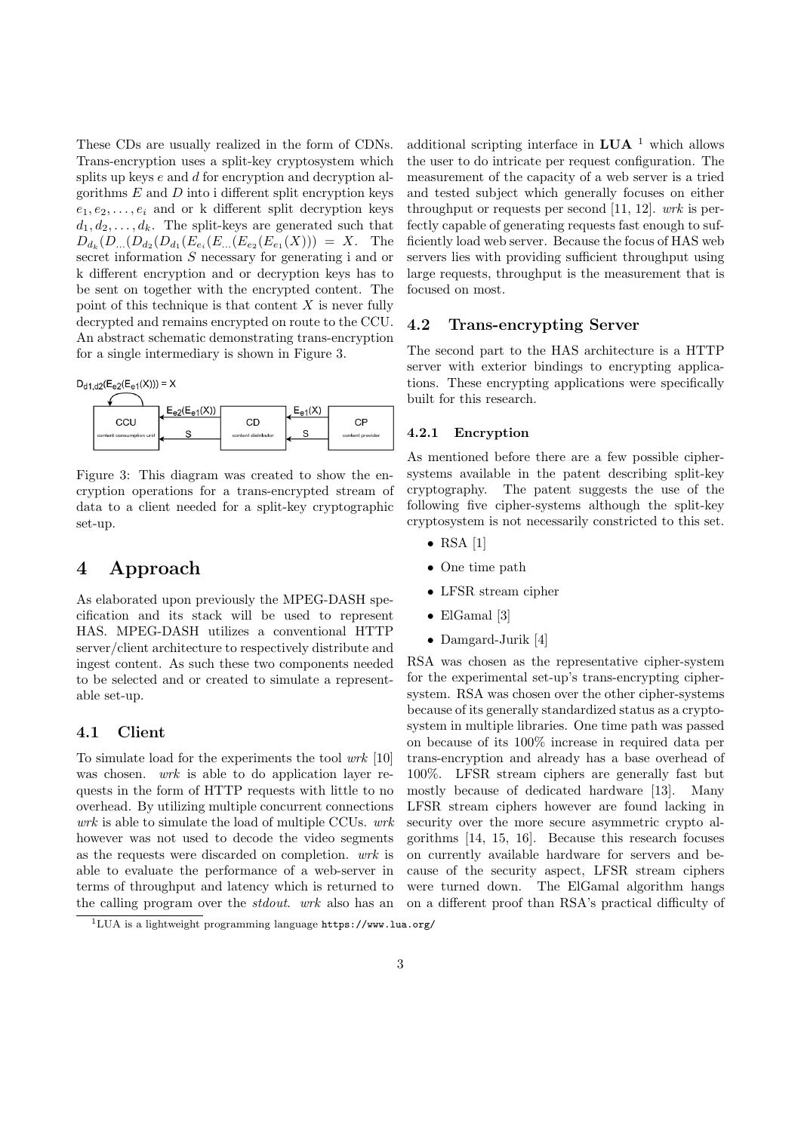These [CDs](#page-0-0) are usually realized in the form of [CDNs.](#page-0-0) Trans-encryption uses a split-key cryptosystem which splits up keys  $e$  and  $d$  for encryption and decryption algorithms  $E$  and  $D$  into i different split encryption keys  $e_1, e_2, \ldots, e_i$  and or k different split decryption keys  $d_1, d_2, \ldots, d_k$ . The split-keys are generated such that  $D_{d_k}(D_{...}(D_{d_2}(D_{d_1}(E_{e_i}(E_{...}(E_{e_2}(E_{e_1}(X)))) = X$ . The secret information  $S$  necessary for generating i and or k different encryption and or decryption keys has to be sent on together with the encrypted content. The point of this technique is that content  $X$  is never fully decrypted and remains encrypted on route to the [CCU.](#page-0-0) An abstract schematic demonstrating trans-encryption for a single intermediary is shown in Figure [3.](#page-2-0)

 $D_{d1, d2}(E_{e2}(E_{e1}(X))) = X$ 



<span id="page-2-0"></span>Figure 3: This diagram was created to show the encryption operations for a trans-encrypted stream of data to a client needed for a split-key cryptographic set-up.

# 4 Approach

As elaborated upon previously the [MPEG-DASH](#page-0-0) specification and its stack will be used to represent [HAS. MPEG-DASH](#page-0-0) utilizes a conventional HTTP server/client architecture to respectively distribute and ingest content. As such these two components needed to be selected and or created to simulate a representable set-up.

### 4.1 Client

To simulate load for the experiments the tool wrk [\[10\]](#page-8-9) was chosen. *wrk* is able to do application layer requests in the form of HTTP requests with little to no overhead. By utilizing multiple concurrent connections  $wrk$  is able to simulate the load of multiple [CCUs.](#page-0-0)  $wrk$ however was not used to decode the video segments as the requests were discarded on completion. wrk is able to evaluate the performance of a web-server in terms of throughput and latency which is returned to the calling program over the stdout. wrk also has an

additional scripting interface in  $LUA$ <sup>[1](#page-2-1)</sup> which allows the user to do intricate per request configuration. The measurement of the capacity of a web server is a tried and tested subject which generally focuses on either throughput or requests per second [\[11,](#page-8-10) [12\]](#page-8-11).  $wrk$  is perfectly capable of generating requests fast enough to sufficiently load web server. Because the focus of [HAS](#page-0-0) web servers lies with providing sufficient throughput using large requests, throughput is the measurement that is focused on most.

### 4.2 Trans-encrypting Server

The second part to the [HAS](#page-0-0) architecture is a HTTP server with exterior bindings to encrypting applications. These encrypting applications were specifically built for this research.

### 4.2.1 Encryption

As mentioned before there are a few possible ciphersystems available in the patent describing split-key cryptography. The patent suggests the use of the following five cipher-systems although the split-key cryptosystem is not necessarily constricted to this set.

- $\bullet$  RSA [\[1\]](#page-8-0)
- One time path
- LFSR stream cipher
- ElGamal [\[3\]](#page-8-2)
- Damgard-Jurik [\[4\]](#page-8-3)

RSA was chosen as the representative cipher-system for the experimental set-up's trans-encrypting ciphersystem. RSA was chosen over the other cipher-systems because of its generally standardized status as a cryptosystem in multiple libraries. One time path was passed on because of its 100% increase in required data per trans-encryption and already has a base overhead of 100%. LFSR stream ciphers are generally fast but mostly because of dedicated hardware [\[13\]](#page-8-12). Many LFSR stream ciphers however are found lacking in security over the more secure asymmetric crypto algorithms [\[14,](#page-8-13) [15,](#page-8-14) [16\]](#page-9-0). Because this research focuses on currently available hardware for servers and because of the security aspect, LFSR stream ciphers were turned down. The ElGamal algorithm hangs on a different proof than RSA's practical difficulty of

<span id="page-2-1"></span> $1$ LUA is a lightweight programming language <https://www.lua.org/>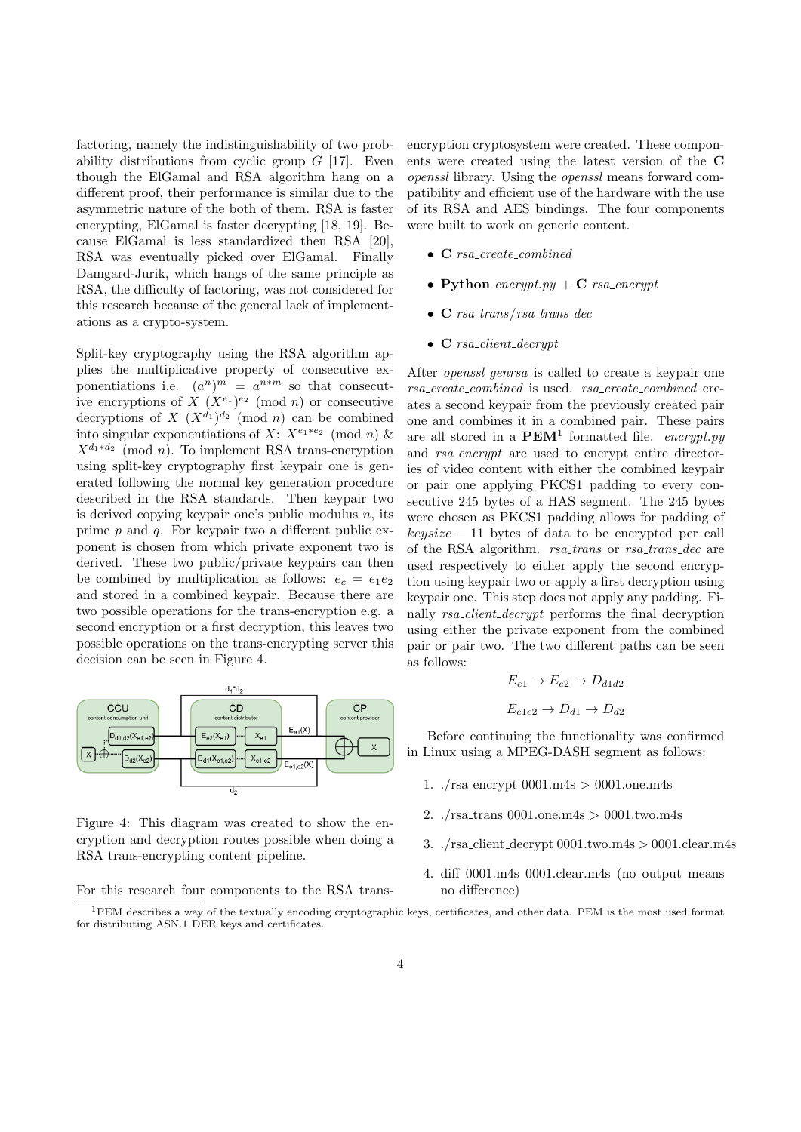factoring, namely the indistinguishability of two probability distributions from cyclic group  $G$  [\[17\]](#page-9-1). Even though the ElGamal and RSA algorithm hang on a different proof, their performance is similar due to the asymmetric nature of the both of them. RSA is faster encrypting, ElGamal is faster decrypting [\[18,](#page-9-2) [19\]](#page-9-3). Because ElGamal is less standardized then RSA [\[20\]](#page-9-4), RSA was eventually picked over ElGamal. Finally Damgard-Jurik, which hangs of the same principle as RSA, the difficulty of factoring, was not considered for this research because of the general lack of implementations as a crypto-system.

Split-key cryptography using the RSA algorithm applies the multiplicative property of consecutive exponentiations i.e.  $(a^n)^m = a^{n*m}$  so that consecutive encryptions of  $X (X^{e_1})^{e_2} \pmod{n}$  or consecutive decryptions of  $X (X^{d_1})^{d_2} \pmod{n}$  can be combined into singular exponentiations of X:  $X^{e_1*e_2} \pmod{n}$  &  $X^{d_1*d_2} \pmod{n}$ . To implement RSA trans-encryption using split-key cryptography first keypair one is generated following the normal key generation procedure described in the RSA standards. Then keypair two is derived copying keypair one's public modulus  $n$ , its prime  $p$  and  $q$ . For keypair two a different public exponent is chosen from which private exponent two is derived. These two public/private keypairs can then be combined by multiplication as follows:  $e_c = e_1 e_2$ and stored in a combined keypair. Because there are two possible operations for the trans-encryption e.g. a second encryption or a first decryption, this leaves two possible operations on the trans-encrypting server this decision can be seen in Figure [4.](#page-3-0)



<span id="page-3-0"></span>Figure 4: This diagram was created to show the encryption and decryption routes possible when doing a RSA trans-encrypting content pipeline.

For this research four components to the RSA trans-

encryption cryptosystem were created. These components were created using the latest version of the C openssl library. Using the openssl means forward compatibility and efficient use of the hardware with the use of its RSA and AES bindings. The four components were built to work on generic content.

- C rsa\_create\_combined
- Python encrypt.py +  $C$  rsa\_encrypt
- C  $rsa\_trans/rsa\_trans\_dec$
- $\bullet$  **C** rsa\_client\_decrypt

After openssl genrsa is called to create a keypair one rsa create combined is used. rsa create combined creates a second keypair from the previously created pair one and combines it in a combined pair. These pairs are all stored in a  $\mathbf{PEM}^1$  $\mathbf{PEM}^1$  formatted file. encrypt.py and rsa encrypt are used to encrypt entire directories of video content with either the combined keypair or pair one applying PKCS1 padding to every consecutive 245 bytes of a [HAS](#page-0-0) segment. The 245 bytes were chosen as PKCS1 padding allows for padding of  $keysize - 11$  bytes of data to be encrypted per call of the RSA algorithm. rsa\_trans or rsa\_trans\_dec are used respectively to either apply the second encryption using keypair two or apply a first decryption using keypair one. This step does not apply any padding. Finally rsa\_client\_decrypt performs the final decryption using either the private exponent from the combined pair or pair two. The two different paths can be seen as follows:

$$
E_{e1} \rightarrow E_{e2} \rightarrow D_{d1d2}
$$
  

$$
E_{e1e2} \rightarrow D_{d1} \rightarrow D_{d2}
$$

Before continuing the functionality was confirmed in Linux using a [MPEG-DASH](#page-0-0) segment as follows:

- 1.  $\sqrt{\text{rsa\_encrypt 0001.m4s}} > 0001 \text{.} \text{one.m4s}$
- 2.  $\sqrt{\text{rsa\_trans 0001.one.m4s}} > 0001 \text{.two.m4s}$
- 3.  $\sqrt{\text{rsa\_client\_decrypt 0001.two.m4s} > 0001.\text{clear.m4s}}$
- 4. diff 0001.m4s 0001.clear.m4s (no output means no difference)

<span id="page-3-1"></span><sup>1</sup>PEM describes a way of the textually encoding cryptographic keys, certificates, and other data. PEM is the most used format for distributing ASN.1 DER keys and certificates.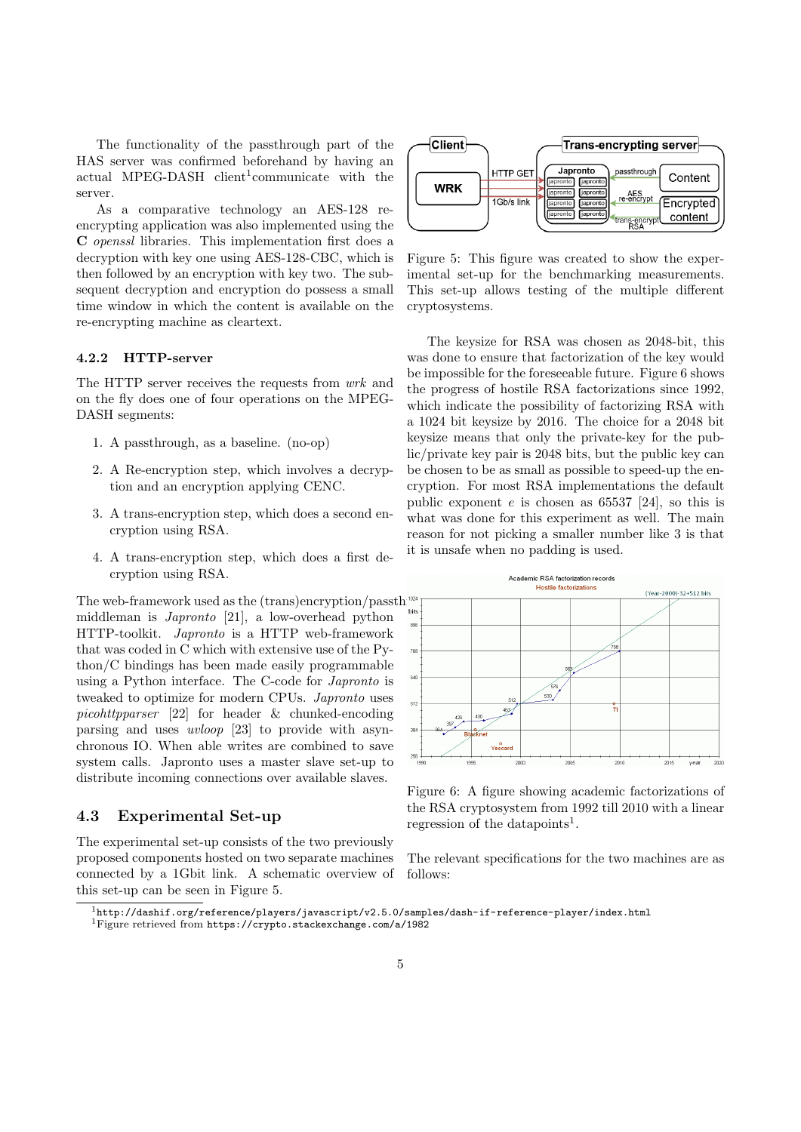The functionality of the passthrough part of the [HAS](#page-0-0) server was confirmed beforehand by having an actual [MPEG-DASH](#page-0-0) client<sup>[1](#page-4-0)</sup>communicate with the server.

As a comparative technology an AES-128 reencrypting application was also implemented using the C openssl libraries. This implementation first does a decryption with key one using AES-128-CBC, which is then followed by an encryption with key two. The subsequent decryption and encryption do possess a small time window in which the content is available on the re-encrypting machine as cleartext.

#### 4.2.2 HTTP-server

The HTTP server receives the requests from wrk and on the fly does one of four operations on the [MPEG-](#page-0-0)[DASH](#page-0-0) segments:

- 1. A passthrough, as a baseline. (no-op)
- 2. A Re-encryption step, which involves a decryption and an encryption applying [CENC.](#page-0-0)
- 3. A trans-encryption step, which does a second encryption using RSA.
- 4. A trans-encryption step, which does a first decryption using RSA.

The web-framework used as the  $(\text{trans})$ encryption/passth<sup>rough</sup> middleman is Japronto [\[21\]](#page-9-5), a low-overhead python HTTP-toolkit. Japronto is a HTTP web-framework that was coded in C which with extensive use of the Python/C bindings has been made easily programmable using a Python interface. The C-code for Japronto is tweaked to optimize for modern CPUs. Japronto uses picohttpparser [\[22\]](#page-9-6) for header & chunked-encoding parsing and uses uvloop [\[23\]](#page-9-7) to provide with asynchronous IO. When able writes are combined to save system calls. Japronto uses a master slave set-up to distribute incoming connections over available slaves.

### <span id="page-4-4"></span>4.3 Experimental Set-up

The experimental set-up consists of the two previously proposed components hosted on two separate machines connected by a 1Gbit link. A schematic overview of this set-up can be seen in Figure [5.](#page-4-1)



<span id="page-4-1"></span>Figure 5: This figure was created to show the experimental set-up for the benchmarking measurements. This set-up allows testing of the multiple different cryptosystems.

The keysize for RSA was chosen as 2048-bit, this was done to ensure that factorization of the key would be impossible for the foreseeable future. Figure [6](#page-4-2) shows the progress of hostile RSA factorizations since 1992, which indicate the possibility of factorizing RSA with a 1024 bit keysize by 2016. The choice for a 2048 bit keysize means that only the private-key for the public/private key pair is 2048 bits, but the public key can be chosen to be as small as possible to speed-up the encryption. For most RSA implementations the default public exponent  $e$  is chosen as 65537 [\[24\]](#page-9-8), so this is what was done for this experiment as well. The main reason for not picking a smaller number like 3 is that it is unsafe when no padding is used.



<span id="page-4-2"></span>Figure 6: A figure showing academic factorizations of the RSA cryptosystem from 1992 till 2010 with a linear regression of the datapoints<sup>[1](#page-4-3)</sup>.

The relevant specifications for the two machines are as follows:

<span id="page-4-3"></span><span id="page-4-0"></span> $1$ <http://dashif.org/reference/players/javascript/v2.5.0/samples/dash-if-reference-player/index.html> <sup>1</sup>Figure retrieved from <https://crypto.stackexchange.com/a/1982>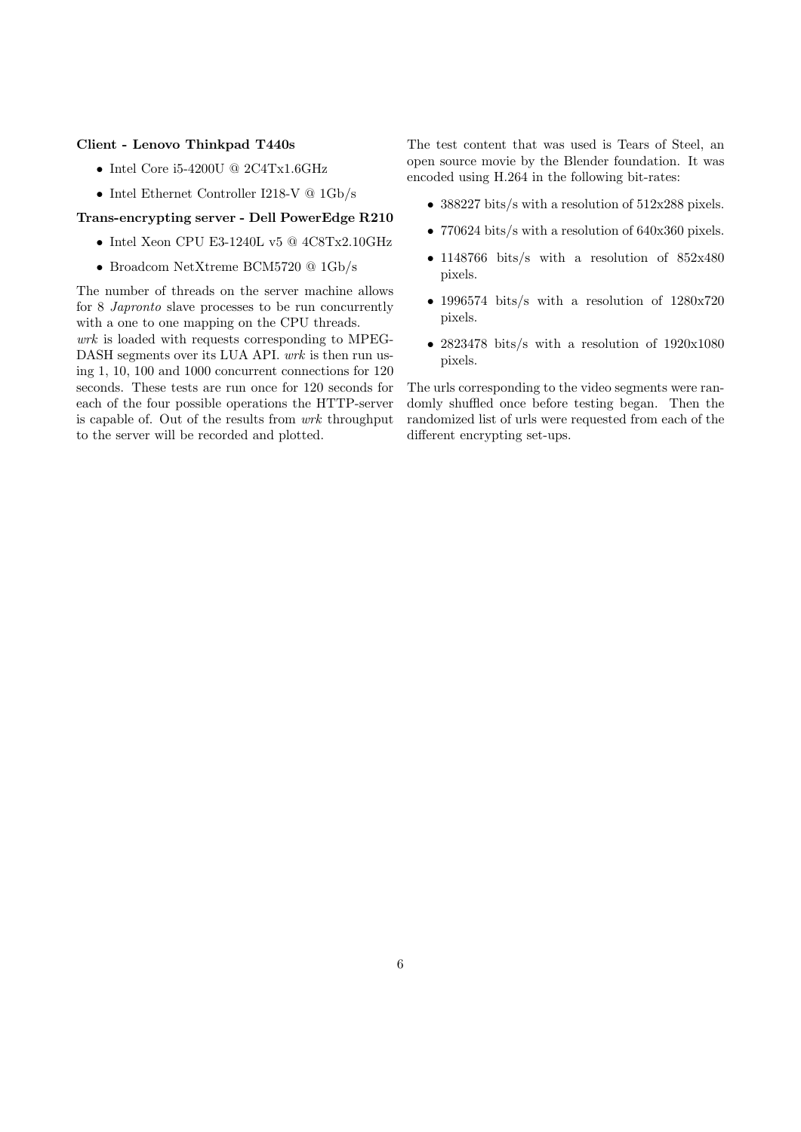### Client - Lenovo Thinkpad T440s

- $\bullet\,$ Intel Core i5-4200U @ 2C4Tx1.6GHz
- $\bullet\,$ Intel Ethernet Controller I218-V @ 1Gb/s

### Trans-encrypting server - Dell PowerEdge R210

- Intel Xeon CPU E3-1240L v5 @ 4C8Tx2.10GHz
- Broadcom NetXtreme BCM5720 @ 1Gb/s

The number of threads on the server machine allows for 8 Japronto slave processes to be run concurrently with a one to one mapping on the CPU threads. wrk is loaded with requests corresponding to [MPEG-](#page-0-0)[DASH](#page-0-0) segments over its LUA API. wrk is then run using 1, 10, 100 and 1000 concurrent connections for 120 seconds. These tests are run once for 120 seconds for each of the four possible operations the HTTP-server is capable of. Out of the results from wrk throughput to the server will be recorded and plotted.

The test content that was used is Tears of Steel, an open source movie by the Blender foundation. It was encoded using H.264 in the following bit-rates:

- 388227 bits/s with a resolution of 512x288 pixels.
- 770624 bits/s with a resolution of 640x360 pixels.
- 1148766 bits/s with a resolution of 852x480 pixels.
- 1996574 bits/s with a resolution of 1280x720 pixels.
- 2823478 bits/s with a resolution of 1920x1080 pixels.

The urls corresponding to the video segments were randomly shuffled once before testing began. Then the randomized list of urls were requested from each of the different encrypting set-ups.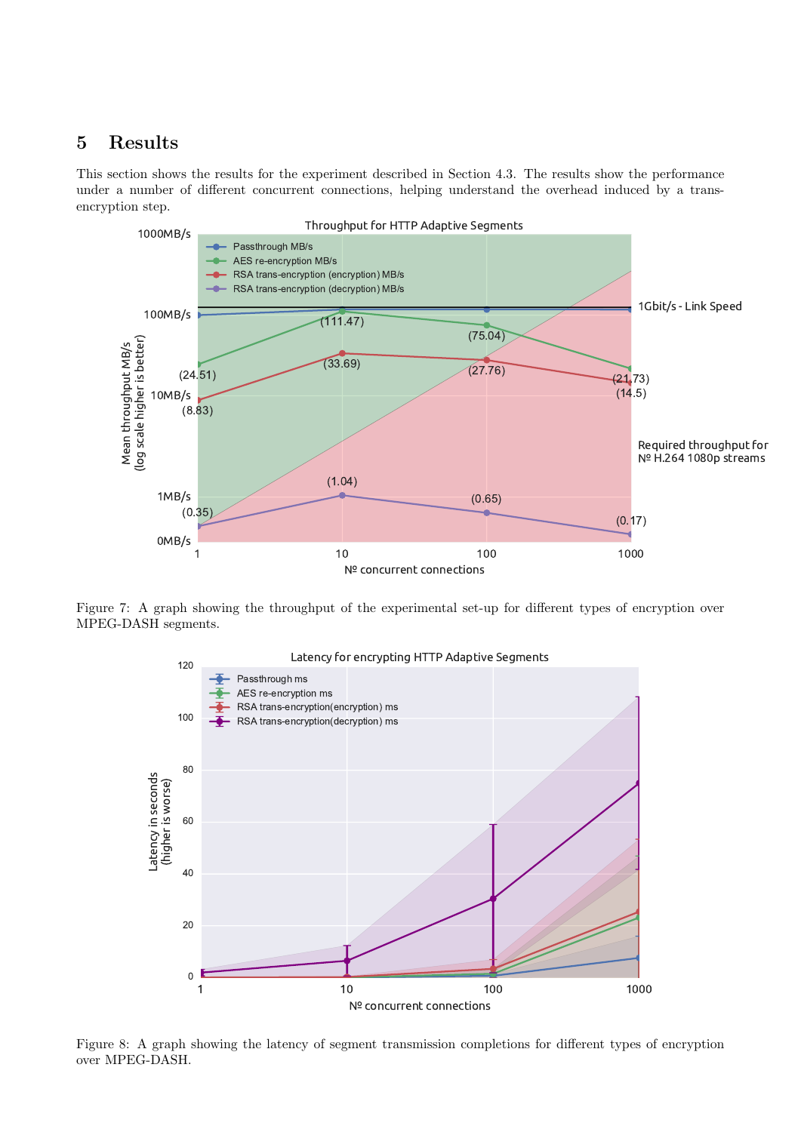# 5 Results

This section shows the results for the experiment described in Section [4.3.](#page-4-4) The results show the performance under a number of different concurrent connections, helping understand the overhead induced by a transencryption step.



Figure 7: A graph showing the throughput of the experimental set-up for different types of encryption over [MPEG-DASH](#page-0-0) segments.

<span id="page-6-0"></span>

<span id="page-6-1"></span>Figure 8: A graph showing the latency of segment transmission completions for different types of encryption over [MPEG-DASH.](#page-0-0)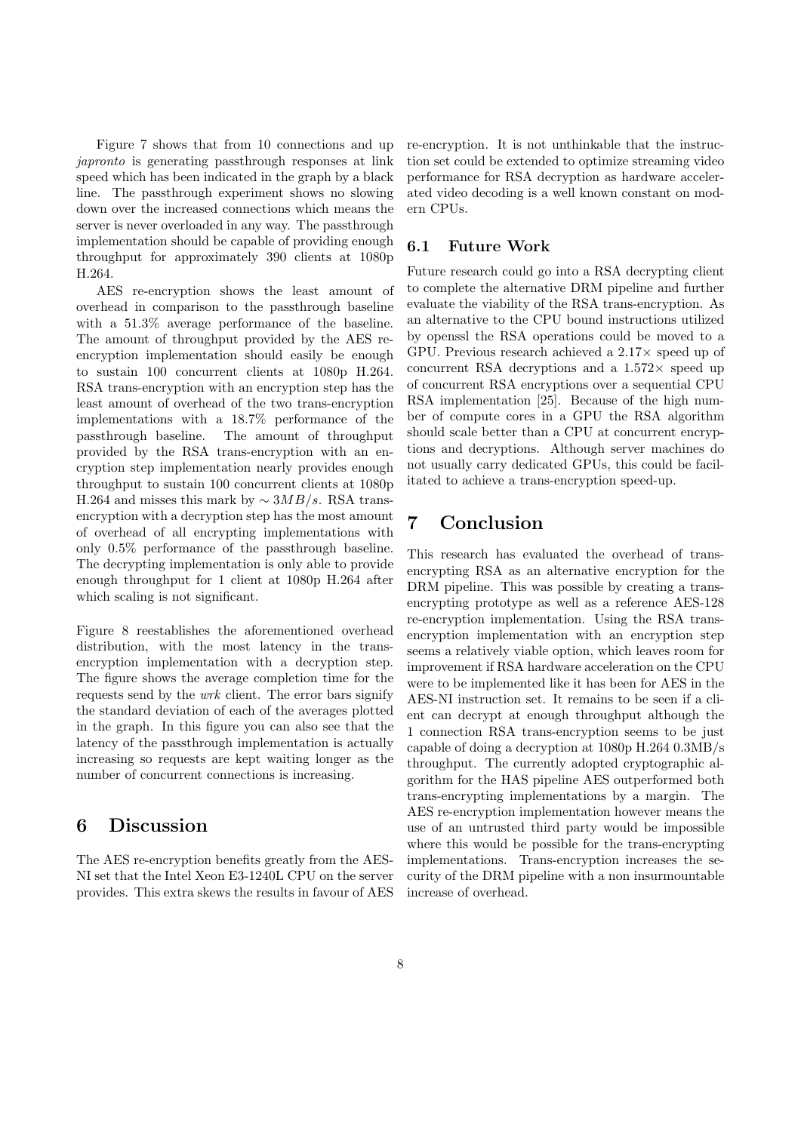Figure [7](#page-6-0) shows that from 10 connections and up japronto is generating passthrough responses at link speed which has been indicated in the graph by a black line. The passthrough experiment shows no slowing down over the increased connections which means the server is never overloaded in any way. The passthrough implementation should be capable of providing enough throughput for approximately 390 clients at 1080p H.264.

AES re-encryption shows the least amount of overhead in comparison to the passthrough baseline with a  $51.3\%$  average performance of the baseline. The amount of throughput provided by the AES reencryption implementation should easily be enough to sustain 100 concurrent clients at 1080p H.264. RSA trans-encryption with an encryption step has the least amount of overhead of the two trans-encryption implementations with a 18.7% performance of the passthrough baseline. The amount of throughput provided by the RSA trans-encryption with an encryption step implementation nearly provides enough throughput to sustain 100 concurrent clients at 1080p H.264 and misses this mark by  $\sim 3MB/s$ . RSA transencryption with a decryption step has the most amount of overhead of all encrypting implementations with only 0.5% performance of the passthrough baseline. The decrypting implementation is only able to provide enough throughput for 1 client at 1080p H.264 after which scaling is not significant.

Figure [8](#page-6-1) reestablishes the aforementioned overhead distribution, with the most latency in the transencryption implementation with a decryption step. The figure shows the average completion time for the requests send by the wrk client. The error bars signify the standard deviation of each of the averages plotted in the graph. In this figure you can also see that the latency of the passthrough implementation is actually increasing so requests are kept waiting longer as the number of concurrent connections is increasing.

## 6 Discussion

The AES re-encryption benefits greatly from the AES-NI set that the Intel Xeon E3-1240L CPU on the server provides. This extra skews the results in favour of AES

re-encryption. It is not unthinkable that the instruction set could be extended to optimize streaming video performance for RSA decryption as hardware accelerated video decoding is a well known constant on modern CPUs.

### 6.1 Future Work

Future research could go into a RSA decrypting client to complete the alternative DRM pipeline and further evaluate the viability of the RSA trans-encryption. As an alternative to the CPU bound instructions utilized by openssl the RSA operations could be moved to a GPU. Previous research achieved a 2.17× speed up of concurrent RSA decryptions and a  $1.572\times$  speed up of concurrent RSA encryptions over a sequential CPU RSA implementation [\[25\]](#page-9-9). Because of the high number of compute cores in a GPU the RSA algorithm should scale better than a CPU at concurrent encryptions and decryptions. Although server machines do not usually carry dedicated GPUs, this could be facilitated to achieve a trans-encryption speed-up.

# 7 Conclusion

This research has evaluated the overhead of transencrypting RSA as an alternative encryption for the DRM pipeline. This was possible by creating a transencrypting prototype as well as a reference AES-128 re-encryption implementation. Using the RSA transencryption implementation with an encryption step seems a relatively viable option, which leaves room for improvement if RSA hardware acceleration on the CPU were to be implemented like it has been for AES in the AES-NI instruction set. It remains to be seen if a client can decrypt at enough throughput although the 1 connection RSA trans-encryption seems to be just capable of doing a decryption at 1080p H.264 0.3MB/s throughput. The currently adopted cryptographic algorithm for the [HAS](#page-0-0) pipeline AES outperformed both trans-encrypting implementations by a margin. The AES re-encryption implementation however means the use of an untrusted third party would be impossible where this would be possible for the trans-encrypting implementations. Trans-encryption increases the security of the DRM pipeline with a non insurmountable increase of overhead.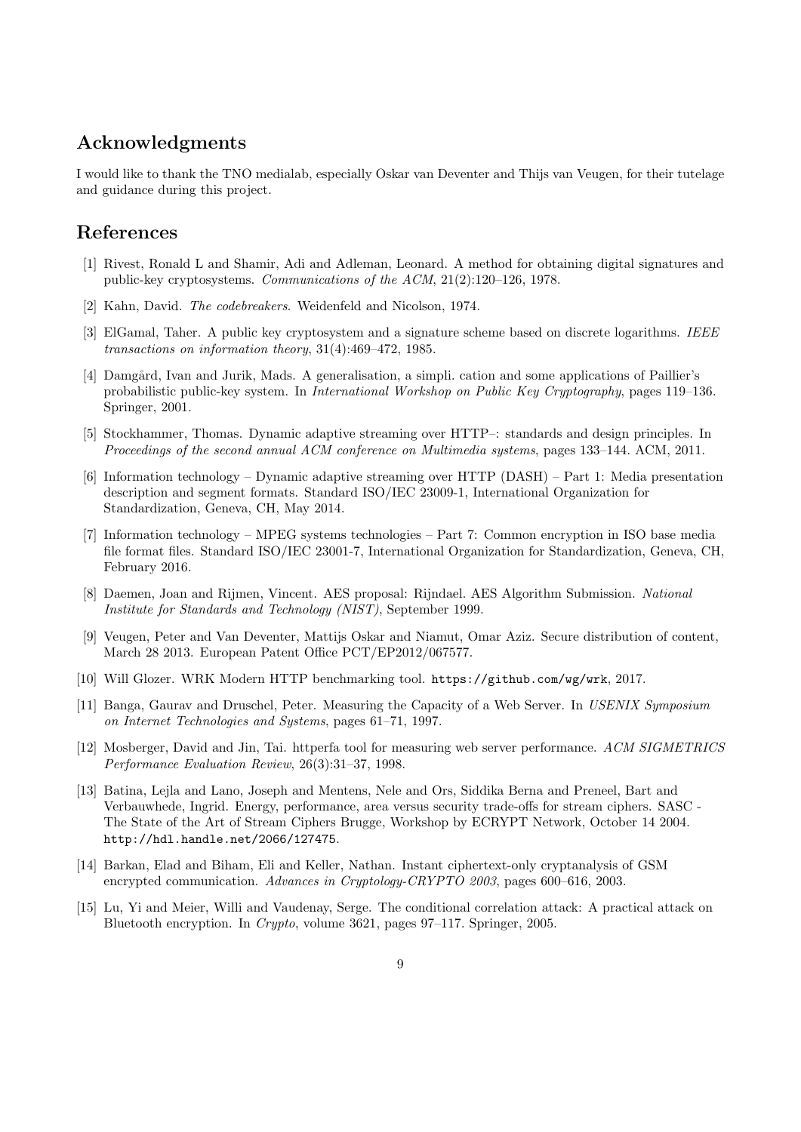# Acknowledgments

I would like to thank the TNO medialab, especially Oskar van Deventer and Thijs van Veugen, for their tutelage and guidance during this project.

# References

- <span id="page-8-0"></span>[1] Rivest, Ronald L and Shamir, Adi and Adleman, Leonard. A method for obtaining digital signatures and public-key cryptosystems. Communications of the ACM, 21(2):120–126, 1978.
- <span id="page-8-1"></span>[2] Kahn, David. The codebreakers. Weidenfeld and Nicolson, 1974.
- <span id="page-8-2"></span>[3] ElGamal, Taher. A public key cryptosystem and a signature scheme based on discrete logarithms. IEEE transactions on information theory, 31(4):469–472, 1985.
- <span id="page-8-3"></span>[4] Damgård, Ivan and Jurik, Mads. A generalisation, a simpli. cation and some applications of Paillier's probabilistic public-key system. In International Workshop on Public Key Cryptography, pages 119–136. Springer, 2001.
- <span id="page-8-4"></span>[5] Stockhammer, Thomas. Dynamic adaptive streaming over HTTP–: standards and design principles. In Proceedings of the second annual ACM conference on Multimedia systems, pages 133–144. ACM, 2011.
- <span id="page-8-5"></span>[6] Information technology – Dynamic adaptive streaming over HTTP (DASH) – Part 1: Media presentation description and segment formats. Standard ISO/IEC 23009-1, International Organization for Standardization, Geneva, CH, May 2014.
- <span id="page-8-6"></span>[7] Information technology – MPEG systems technologies – Part 7: Common encryption in ISO base media file format files. Standard ISO/IEC 23001-7, International Organization for Standardization, Geneva, CH, February 2016.
- <span id="page-8-7"></span>[8] Daemen, Joan and Rijmen, Vincent. AES proposal: Rijndael. AES Algorithm Submission. National Institute for Standards and Technology (NIST), September 1999.
- <span id="page-8-8"></span>[9] Veugen, Peter and Van Deventer, Mattijs Oskar and Niamut, Omar Aziz. Secure distribution of content, March 28 2013. European Patent Office PCT/EP2012/067577.
- <span id="page-8-9"></span>[10] Will Glozer. WRK Modern HTTP benchmarking tool. <https://github.com/wg/wrk>, 2017.
- <span id="page-8-10"></span>[11] Banga, Gaurav and Druschel, Peter. Measuring the Capacity of a Web Server. In USENIX Symposium on Internet Technologies and Systems, pages 61–71, 1997.
- <span id="page-8-11"></span>[12] Mosberger, David and Jin, Tai. httperfa tool for measuring web server performance. ACM SIGMETRICS Performance Evaluation Review, 26(3):31–37, 1998.
- <span id="page-8-12"></span>[13] Batina, Lejla and Lano, Joseph and Mentens, Nele and Ors, Siddika Berna and Preneel, Bart and Verbauwhede, Ingrid. Energy, performance, area versus security trade-offs for stream ciphers. SASC - The State of the Art of Stream Ciphers Brugge, Workshop by ECRYPT Network, October 14 2004. <http://hdl.handle.net/2066/127475>.
- <span id="page-8-13"></span>[14] Barkan, Elad and Biham, Eli and Keller, Nathan. Instant ciphertext-only cryptanalysis of GSM encrypted communication. Advances in Cryptology-CRYPTO 2003, pages 600–616, 2003.
- <span id="page-8-14"></span>[15] Lu, Yi and Meier, Willi and Vaudenay, Serge. The conditional correlation attack: A practical attack on Bluetooth encryption. In Crypto, volume 3621, pages 97–117. Springer, 2005.